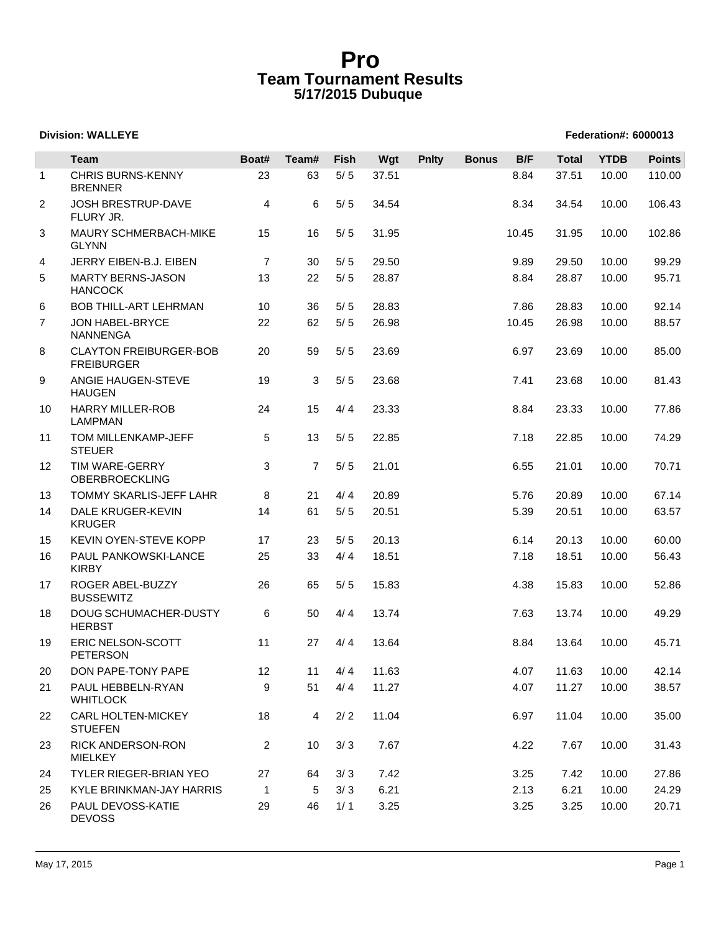# **Pro Team Tournament Results 5/17/2015 Dubuque**

### **Division: WALLEYE** Federation#: 6000013

|              | Team                                               | Boat#          | Team#          | <b>Fish</b> | Wgt   | <b>Pnlty</b> | <b>Bonus</b> | B/F   | <b>Total</b> | <b>YTDB</b> | <b>Points</b> |
|--------------|----------------------------------------------------|----------------|----------------|-------------|-------|--------------|--------------|-------|--------------|-------------|---------------|
| $\mathbf{1}$ | <b>CHRIS BURNS-KENNY</b><br><b>BRENNER</b>         | 23             | 63             | $5/5$       | 37.51 |              |              | 8.84  | 37.51        | 10.00       | 110.00        |
| 2            | JOSH BRESTRUP-DAVE<br>FLURY JR.                    | 4              | 6              | $5/5$       | 34.54 |              |              | 8.34  | 34.54        | 10.00       | 106.43        |
| 3            | MAURY SCHMERBACH-MIKE<br><b>GLYNN</b>              | 15             | 16             | $5/5$       | 31.95 |              |              | 10.45 | 31.95        | 10.00       | 102.86        |
| 4            | JERRY EIBEN-B.J. EIBEN                             | $\overline{7}$ | 30             | $5/5$       | 29.50 |              |              | 9.89  | 29.50        | 10.00       | 99.29         |
| 5            | <b>MARTY BERNS-JASON</b><br><b>HANCOCK</b>         | 13             | 22             | $5/5$       | 28.87 |              |              | 8.84  | 28.87        | 10.00       | 95.71         |
| 6            | <b>BOB THILL-ART LEHRMAN</b>                       | 10             | 36             | $5/5$       | 28.83 |              |              | 7.86  | 28.83        | 10.00       | 92.14         |
| 7            | JON HABEL-BRYCE<br><b>NANNENGA</b>                 | 22             | 62             | $5/5$       | 26.98 |              |              | 10.45 | 26.98        | 10.00       | 88.57         |
| 8            | <b>CLAYTON FREIBURGER-BOB</b><br><b>FREIBURGER</b> | 20             | 59             | $5/5$       | 23.69 |              |              | 6.97  | 23.69        | 10.00       | 85.00         |
| 9            | ANGIE HAUGEN-STEVE<br><b>HAUGEN</b>                | 19             | 3              | $5/5$       | 23.68 |              |              | 7.41  | 23.68        | 10.00       | 81.43         |
| 10           | <b>HARRY MILLER-ROB</b><br><b>LAMPMAN</b>          | 24             | 15             | 4/4         | 23.33 |              |              | 8.84  | 23.33        | 10.00       | 77.86         |
| 11           | TOM MILLENKAMP-JEFF<br><b>STEUER</b>               | 5              | 13             | $5/5$       | 22.85 |              |              | 7.18  | 22.85        | 10.00       | 74.29         |
| 12           | TIM WARE-GERRY<br><b>OBERBROECKLING</b>            | 3              | $\overline{7}$ | $5/5$       | 21.01 |              |              | 6.55  | 21.01        | 10.00       | 70.71         |
| 13           | TOMMY SKARLIS-JEFF LAHR                            | 8              | 21             | 4/4         | 20.89 |              |              | 5.76  | 20.89        | 10.00       | 67.14         |
| 14           | DALE KRUGER-KEVIN<br><b>KRUGER</b>                 | 14             | 61             | $5/5$       | 20.51 |              |              | 5.39  | 20.51        | 10.00       | 63.57         |
| 15           | KEVIN OYEN-STEVE KOPP                              | 17             | 23             | $5/5$       | 20.13 |              |              | 6.14  | 20.13        | 10.00       | 60.00         |
| 16           | PAUL PANKOWSKI-LANCE<br><b>KIRBY</b>               | 25             | 33             | 4/4         | 18.51 |              |              | 7.18  | 18.51        | 10.00       | 56.43         |
| 17           | ROGER ABEL-BUZZY<br><b>BUSSEWITZ</b>               | 26             | 65             | $5/5$       | 15.83 |              |              | 4.38  | 15.83        | 10.00       | 52.86         |
| 18           | DOUG SCHUMACHER-DUSTY<br><b>HERBST</b>             | 6              | 50             | 4/4         | 13.74 |              |              | 7.63  | 13.74        | 10.00       | 49.29         |
| 19           | ERIC NELSON-SCOTT<br><b>PETERSON</b>               | 11             | 27             | 4/4         | 13.64 |              |              | 8.84  | 13.64        | 10.00       | 45.71         |
| 20           | DON PAPE-TONY PAPE                                 | 12             |                | 11 $4/4$    | 11.63 |              |              | 4.07  | 11.63        | 10.00       | 42.14         |
| 21           | PAUL HEBBELN-RYAN<br><b>WHITLOCK</b>               | 9              | 51             | 4/4         | 11.27 |              |              | 4.07  | 11.27        | 10.00       | 38.57         |
| 22           | CARL HOLTEN-MICKEY<br><b>STUEFEN</b>               | 18             | $\overline{4}$ | $2/2$       | 11.04 |              |              | 6.97  | 11.04        | 10.00       | 35.00         |
| 23           | <b>RICK ANDERSON-RON</b><br><b>MIELKEY</b>         | $\overline{2}$ | 10             | 3/3         | 7.67  |              |              | 4.22  | 7.67         | 10.00       | 31.43         |
| 24           | TYLER RIEGER-BRIAN YEO                             | 27             | 64             | 3/3         | 7.42  |              |              | 3.25  | 7.42         | 10.00       | 27.86         |
| 25           | KYLE BRINKMAN-JAY HARRIS                           | $\mathbf{1}$   | 5              | 3/3         | 6.21  |              |              | 2.13  | 6.21         | 10.00       | 24.29         |
| 26           | PAUL DEVOSS-KATIE<br><b>DEVOSS</b>                 | 29             | 46             | 1/1         | 3.25  |              |              | 3.25  | 3.25         | 10.00       | 20.71         |